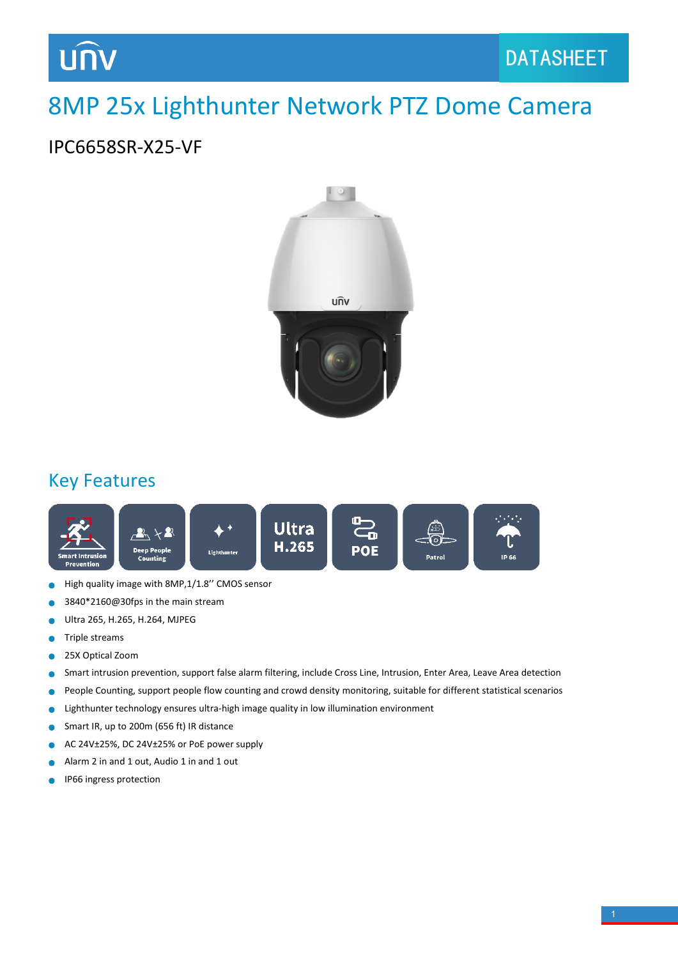## 8MP 25x Lighthunter Network PTZ Dome Camera

## IPC6658SR-X25-VF



#### Key Features



- High quality image with 8MP,1/1.8'' CMOS sensor Ċ
- 3840\*2160@30fps in the main stream Ċ
- Ultra 265, H.265, H.264, MJPEG Ċ
- Triple streams Ċ
- 25X Optical Zoom  $\bullet$
- Smart intrusion prevention, support false alarm filtering, include Cross Line, Intrusion, Enter Area, Leave Area detection Ċ
- People Counting, support people flow counting and crowd density monitoring, suitable for different statistical scenarios  $\bullet$
- Lighthunter technology ensures ultra-high image quality in low illumination environment ä
- Smart IR, up to 200m (656 ft) IR distance  $\bullet$
- AC 24V±25%, DC 24V±25% or PoE power supply  $\bullet$
- Alarm 2 in and 1 out, Audio 1 in and 1 out ä
- IP66 ingress protection $\bullet$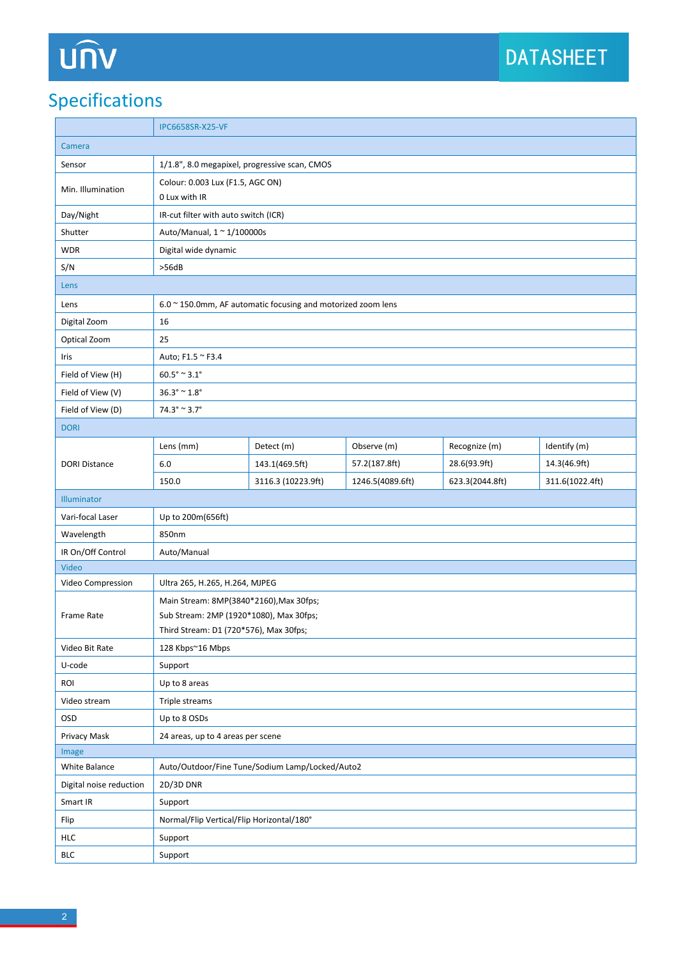# UN

## Specifications

|                         | <b>IPC6658SR-X25-VF</b>                                                                                                      |                            |                  |                 |                 |  |
|-------------------------|------------------------------------------------------------------------------------------------------------------------------|----------------------------|------------------|-----------------|-----------------|--|
| Camera                  |                                                                                                                              |                            |                  |                 |                 |  |
| Sensor                  | 1/1.8", 8.0 megapixel, progressive scan, CMOS                                                                                |                            |                  |                 |                 |  |
| Min. Illumination       | Colour: 0.003 Lux (F1.5, AGC ON)<br>0 Lux with IR                                                                            |                            |                  |                 |                 |  |
| Day/Night               | IR-cut filter with auto switch (ICR)                                                                                         |                            |                  |                 |                 |  |
| Shutter                 |                                                                                                                              | Auto/Manual, 1 ~ 1/100000s |                  |                 |                 |  |
| <b>WDR</b>              | Digital wide dynamic                                                                                                         |                            |                  |                 |                 |  |
| S/N                     | >56dB                                                                                                                        |                            |                  |                 |                 |  |
| Lens                    |                                                                                                                              |                            |                  |                 |                 |  |
| Lens                    | 6.0 ~ 150.0mm, AF automatic focusing and motorized zoom lens                                                                 |                            |                  |                 |                 |  |
| Digital Zoom            | 16                                                                                                                           |                            |                  |                 |                 |  |
| Optical Zoom            | 25                                                                                                                           |                            |                  |                 |                 |  |
| Iris                    | Auto; F1.5 ~ F3.4                                                                                                            |                            |                  |                 |                 |  |
| Field of View (H)       | $60.5^{\circ} \cong 3.1^{\circ}$                                                                                             |                            |                  |                 |                 |  |
| Field of View (V)       | $36.3^{\circ} \approx 1.8^{\circ}$                                                                                           |                            |                  |                 |                 |  |
| Field of View (D)       | $74.3^{\circ} \approx 3.7^{\circ}$                                                                                           |                            |                  |                 |                 |  |
| <b>DORI</b>             |                                                                                                                              |                            |                  |                 |                 |  |
|                         | Lens (mm)                                                                                                                    | Detect (m)                 | Observe (m)      | Recognize (m)   | Identify (m)    |  |
| <b>DORI Distance</b>    | $6.0$                                                                                                                        | 143.1(469.5ft)             | 57.2(187.8ft)    | 28.6(93.9ft)    | 14.3(46.9ft)    |  |
|                         | 150.0                                                                                                                        | 3116.3 (10223.9ft)         | 1246.5(4089.6ft) | 623.3(2044.8ft) | 311.6(1022.4ft) |  |
| Illuminator             |                                                                                                                              |                            |                  |                 |                 |  |
| Vari-focal Laser        | Up to 200m(656ft)                                                                                                            |                            |                  |                 |                 |  |
| Wavelength              | 850nm                                                                                                                        |                            |                  |                 |                 |  |
| IR On/Off Control       | Auto/Manual                                                                                                                  |                            |                  |                 |                 |  |
| Video                   |                                                                                                                              |                            |                  |                 |                 |  |
| Video Compression       | Ultra 265, H.265, H.264, MJPEG                                                                                               |                            |                  |                 |                 |  |
| Frame Rate              | Main Stream: 8MP(3840*2160), Max 30fps;<br>Sub Stream: 2MP (1920*1080), Max 30fps;<br>Third Stream: D1 (720*576), Max 30fps; |                            |                  |                 |                 |  |
| Video Bit Rate          | 128 Kbps~16 Mbps                                                                                                             |                            |                  |                 |                 |  |
| U-code                  | Support                                                                                                                      |                            |                  |                 |                 |  |
| ROI                     | Up to 8 areas                                                                                                                |                            |                  |                 |                 |  |
| Video stream            | Triple streams                                                                                                               |                            |                  |                 |                 |  |
| OSD                     | Up to 8 OSDs                                                                                                                 |                            |                  |                 |                 |  |
| Privacy Mask            | 24 areas, up to 4 areas per scene                                                                                            |                            |                  |                 |                 |  |
| Image                   |                                                                                                                              |                            |                  |                 |                 |  |
| White Balance           | Auto/Outdoor/Fine Tune/Sodium Lamp/Locked/Auto2                                                                              |                            |                  |                 |                 |  |
| Digital noise reduction | 2D/3D DNR                                                                                                                    |                            |                  |                 |                 |  |
| Smart IR                | Support                                                                                                                      |                            |                  |                 |                 |  |
| Flip                    | Normal/Flip Vertical/Flip Horizontal/180°                                                                                    |                            |                  |                 |                 |  |
| <b>HLC</b>              | Support                                                                                                                      |                            |                  |                 |                 |  |
| <b>BLC</b>              | Support                                                                                                                      |                            |                  |                 |                 |  |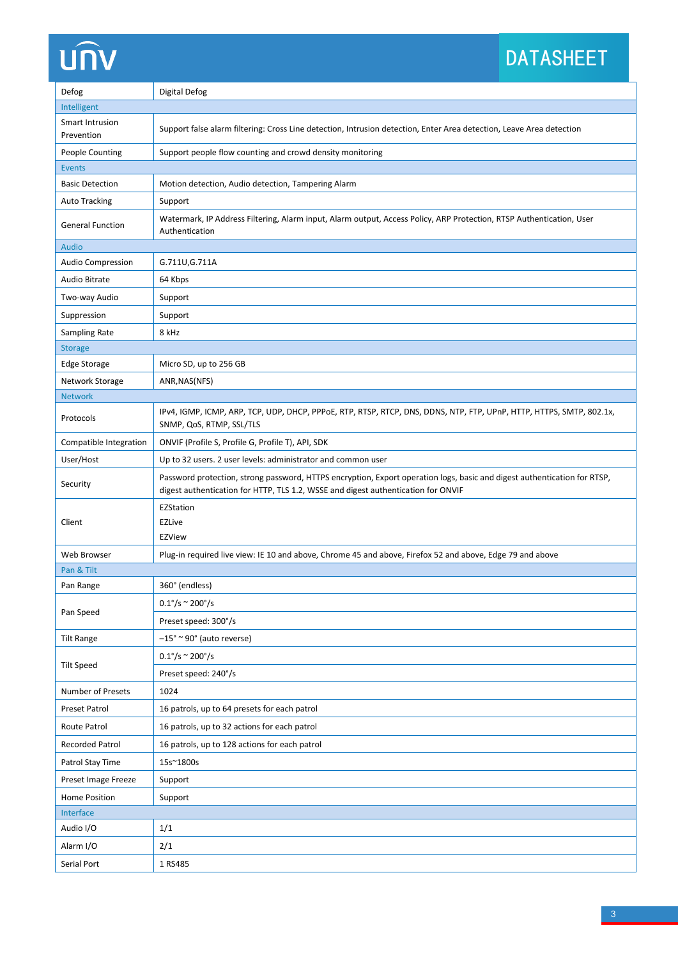## UN

## DATASHEET

| Defog                         | <b>Digital Defog</b>                                                                                                                                                                                          |  |  |  |  |
|-------------------------------|---------------------------------------------------------------------------------------------------------------------------------------------------------------------------------------------------------------|--|--|--|--|
| Intelligent                   |                                                                                                                                                                                                               |  |  |  |  |
| Smart Intrusion<br>Prevention | Support false alarm filtering: Cross Line detection, Intrusion detection, Enter Area detection, Leave Area detection                                                                                          |  |  |  |  |
| People Counting               | Support people flow counting and crowd density monitoring                                                                                                                                                     |  |  |  |  |
| <b>Events</b>                 |                                                                                                                                                                                                               |  |  |  |  |
| <b>Basic Detection</b>        | Motion detection, Audio detection, Tampering Alarm                                                                                                                                                            |  |  |  |  |
| <b>Auto Tracking</b>          | Support                                                                                                                                                                                                       |  |  |  |  |
| <b>General Function</b>       | Watermark, IP Address Filtering, Alarm input, Alarm output, Access Policy, ARP Protection, RTSP Authentication, User<br>Authentication                                                                        |  |  |  |  |
| <b>Audio</b>                  |                                                                                                                                                                                                               |  |  |  |  |
| Audio Compression             | G.711U, G.711A                                                                                                                                                                                                |  |  |  |  |
| <b>Audio Bitrate</b>          | 64 Kbps                                                                                                                                                                                                       |  |  |  |  |
| Two-way Audio                 | Support                                                                                                                                                                                                       |  |  |  |  |
| Suppression                   | Support                                                                                                                                                                                                       |  |  |  |  |
| Sampling Rate                 | 8 kHz                                                                                                                                                                                                         |  |  |  |  |
| <b>Storage</b>                |                                                                                                                                                                                                               |  |  |  |  |
| <b>Edge Storage</b>           | Micro SD, up to 256 GB                                                                                                                                                                                        |  |  |  |  |
| Network Storage               | ANR, NAS(NFS)                                                                                                                                                                                                 |  |  |  |  |
| <b>Network</b>                |                                                                                                                                                                                                               |  |  |  |  |
| Protocols                     | IPv4, IGMP, ICMP, ARP, TCP, UDP, DHCP, PPPoE, RTP, RTSP, RTCP, DNS, DDNS, NTP, FTP, UPnP, HTTP, HTTPS, SMTP, 802.1x,<br>SNMP, QoS, RTMP, SSL/TLS                                                              |  |  |  |  |
| Compatible Integration        | ONVIF (Profile S, Profile G, Profile T), API, SDK                                                                                                                                                             |  |  |  |  |
| User/Host                     | Up to 32 users. 2 user levels: administrator and common user                                                                                                                                                  |  |  |  |  |
| Security                      | Password protection, strong password, HTTPS encryption, Export operation logs, basic and digest authentication for RTSP,<br>digest authentication for HTTP, TLS 1.2, WSSE and digest authentication for ONVIF |  |  |  |  |
|                               | EZStation                                                                                                                                                                                                     |  |  |  |  |
| Client                        | <b>EZLive</b><br>EZView                                                                                                                                                                                       |  |  |  |  |
| Web Browser                   | Plug-in required live view: IE 10 and above, Chrome 45 and above, Firefox 52 and above, Edge 79 and above                                                                                                     |  |  |  |  |
| Pan & Tilt                    |                                                                                                                                                                                                               |  |  |  |  |
| Pan Range                     | 360° (endless)                                                                                                                                                                                                |  |  |  |  |
|                               | $0.1^{\circ}/s \approx 200^{\circ}/s$                                                                                                                                                                         |  |  |  |  |
| Pan Speed                     | Preset speed: 300°/s                                                                                                                                                                                          |  |  |  |  |
| <b>Tilt Range</b>             | $-15^\circ \approx 90^\circ$ (auto reverse)                                                                                                                                                                   |  |  |  |  |
|                               | $0.1^{\circ}/s \approx 200^{\circ}/s$                                                                                                                                                                         |  |  |  |  |
| <b>Tilt Speed</b>             | Preset speed: 240°/s                                                                                                                                                                                          |  |  |  |  |
| Number of Presets             | 1024                                                                                                                                                                                                          |  |  |  |  |
| Preset Patrol                 | 16 patrols, up to 64 presets for each patrol                                                                                                                                                                  |  |  |  |  |
| Route Patrol                  | 16 patrols, up to 32 actions for each patrol                                                                                                                                                                  |  |  |  |  |
| Recorded Patrol               | 16 patrols, up to 128 actions for each patrol                                                                                                                                                                 |  |  |  |  |
| Patrol Stay Time              | 15s~1800s                                                                                                                                                                                                     |  |  |  |  |
| Preset Image Freeze           | Support                                                                                                                                                                                                       |  |  |  |  |
| Home Position                 | Support                                                                                                                                                                                                       |  |  |  |  |
| Interface                     |                                                                                                                                                                                                               |  |  |  |  |
| Audio I/O                     | 1/1                                                                                                                                                                                                           |  |  |  |  |
| Alarm I/O                     | 2/1                                                                                                                                                                                                           |  |  |  |  |
| Serial Port                   | 1 RS485                                                                                                                                                                                                       |  |  |  |  |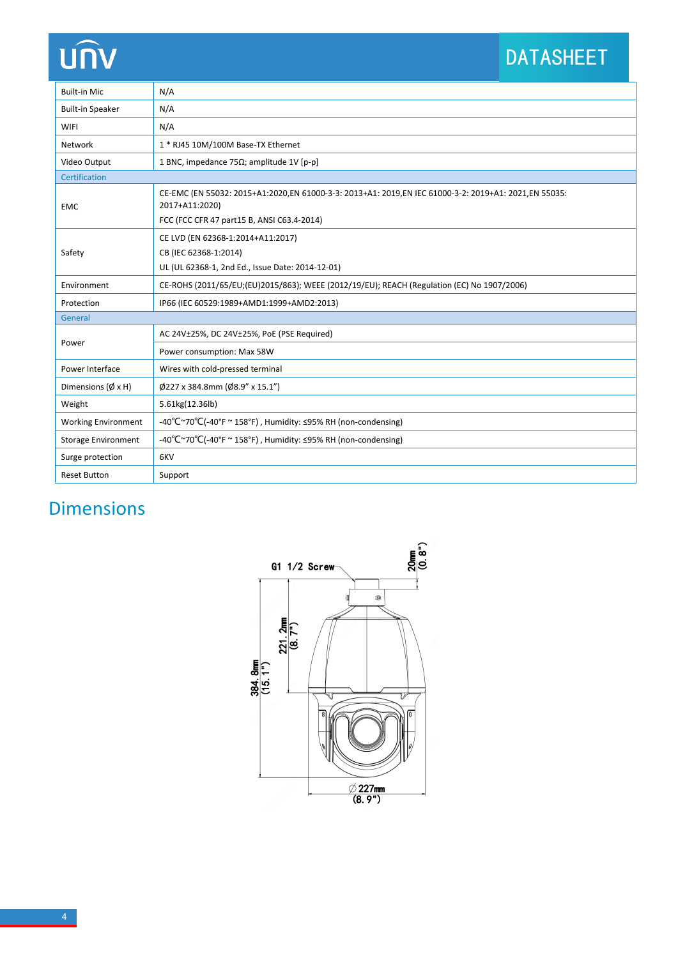## UN

## DATASHEET

| <b>Built-in Mic</b>           | N/A                                                                                                                                                                  |  |  |  |
|-------------------------------|----------------------------------------------------------------------------------------------------------------------------------------------------------------------|--|--|--|
| <b>Built-in Speaker</b>       | N/A                                                                                                                                                                  |  |  |  |
| <b>WIFI</b>                   | N/A                                                                                                                                                                  |  |  |  |
| Network                       | 1 * RJ45 10M/100M Base-TX Ethernet                                                                                                                                   |  |  |  |
| Video Output                  | 1 BNC, impedance 75 $\Omega$ ; amplitude 1V [p-p]                                                                                                                    |  |  |  |
| Certification                 |                                                                                                                                                                      |  |  |  |
| <b>EMC</b>                    | CE-EMC (EN 55032: 2015+A1:2020,EN 61000-3-3: 2013+A1: 2019,EN IEC 61000-3-2: 2019+A1: 2021,EN 55035:<br>2017+A11:2020)<br>FCC (FCC CFR 47 part15 B, ANSI C63.4-2014) |  |  |  |
| Safety                        | CE LVD (EN 62368-1:2014+A11:2017)                                                                                                                                    |  |  |  |
|                               | CB (IEC 62368-1:2014)                                                                                                                                                |  |  |  |
|                               | UL (UL 62368-1, 2nd Ed., Issue Date: 2014-12-01)                                                                                                                     |  |  |  |
| Environment                   | CE-ROHS (2011/65/EU;(EU)2015/863); WEEE (2012/19/EU); REACH (Regulation (EC) No 1907/2006)                                                                           |  |  |  |
| Protection                    | IP66 (IEC 60529:1989+AMD1:1999+AMD2:2013)                                                                                                                            |  |  |  |
| General                       |                                                                                                                                                                      |  |  |  |
| Power                         | AC 24V±25%, DC 24V±25%, PoE (PSE Required)                                                                                                                           |  |  |  |
|                               | Power consumption: Max 58W                                                                                                                                           |  |  |  |
| Power Interface               | Wires with cold-pressed terminal                                                                                                                                     |  |  |  |
| Dimensions ( $\emptyset$ x H) | Ø227 x 384.8mm (Ø8.9" x 15.1")                                                                                                                                       |  |  |  |
| Weight                        | 5.61kg(12.36lb)                                                                                                                                                      |  |  |  |
| <b>Working Environment</b>    | -40°C $\sim$ 70°C(-40°F $\sim$ 158°F), Humidity: <95% RH (non-condensing)                                                                                            |  |  |  |
| <b>Storage Environment</b>    | -40°C $\sim$ 70°C(-40°F $\sim$ 158°F), Humidity: <95% RH (non-condensing)                                                                                            |  |  |  |
| Surge protection              | 6KV                                                                                                                                                                  |  |  |  |
| <b>Reset Button</b>           | Support                                                                                                                                                              |  |  |  |

## Dimensions